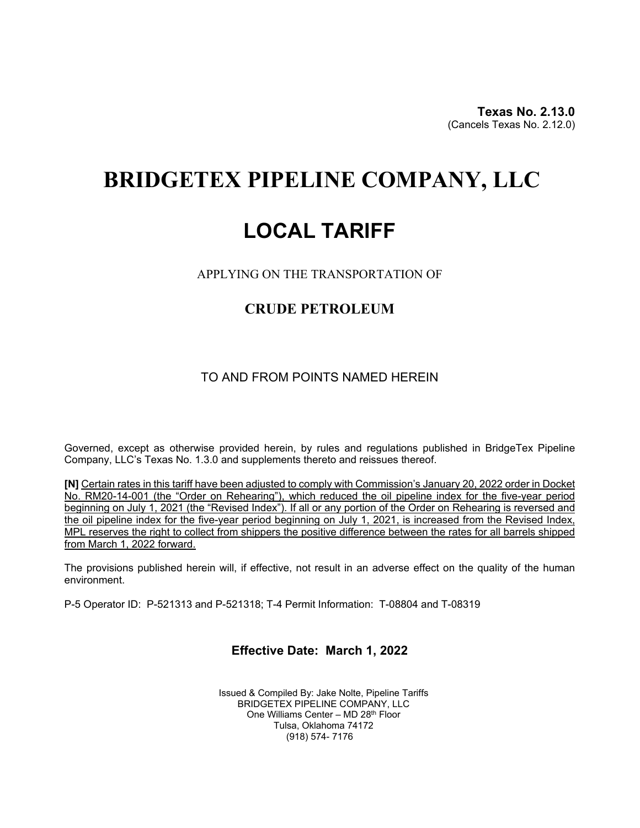**Texas No. 2.13.0**(Cancels Texas No. 2.12.0)

# **BRIDGETEX PIPELINE COMPANY, LLC**

# **LOCAL TARIFF**

APPLYING ON THE TRANSPORTATION OF

## **CRUDE PETROLEUM**

### TO AND FROM POINTS NAMED HEREIN

Governed, except as otherwise provided herein, by rules and regulations published in BridgeTex Pipeline Company, LLC's Texas No. 1.3.0 and supplements thereto and reissues thereof.

**[N]** Certain rates in this tariff have been adjusted to comply with Commission's January 20, 2022 order in Docket No. RM20-14-001 (the "Order on Rehearing"), which reduced the oil pipeline index for the five-year period beginning on July 1, 2021 (the "Revised Index"). If all or any portion of the Order on Rehearing is reversed and the oil pipeline index for the five-year period beginning on July 1, 2021, is increased from the Revised Index, MPL reserves the right to collect from shippers the positive difference between the rates for all barrels shipped from March 1, 2022 forward.

The provisions published herein will, if effective, not result in an adverse effect on the quality of the human environment.

P-5 Operator ID: P-521313 and P-521318; T-4 Permit Information: T-08804 and T-08319

#### **Effective Date: March 1, 2022**

Issued & Compiled By: Jake Nolte, Pipeline Tariffs BRIDGETEX PIPELINE COMPANY, LLC One Williams Center – MD 28th Floor Tulsa, Oklahoma 74172 (918) 574- 7176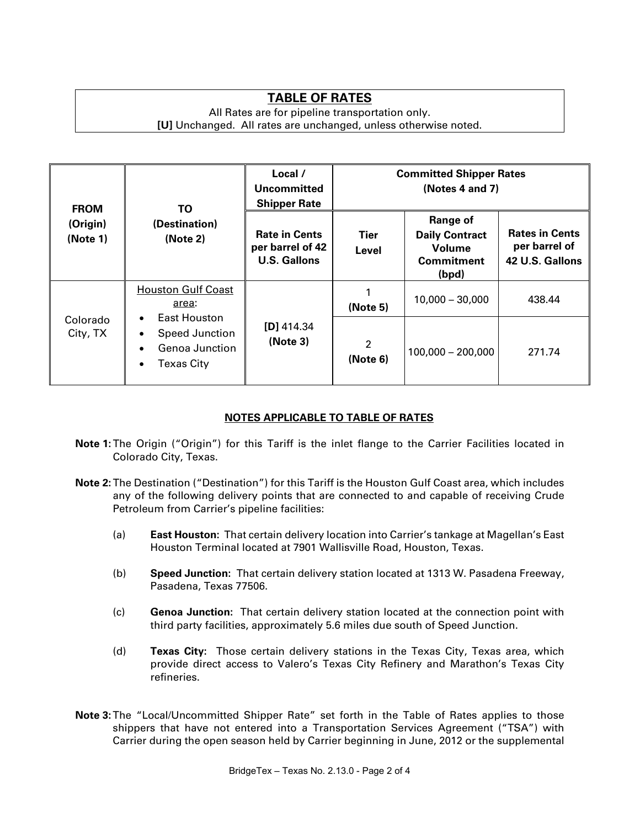## **TABLE OF RATES**

#### All Rates are for pipeline transportation only. **[U]** Unchanged. All rates are unchanged, unless otherwise noted.

| <b>FROM</b><br>(Origin)<br>(Note 1) | TO.<br>(Destination)<br>(Note 2)                                                                                                           | Local /<br>Uncommitted<br><b>Shipper Rate</b>                   | <b>Committed Shipper Rates</b><br>(Notes 4 and 7) |                                                                                  |                                                           |
|-------------------------------------|--------------------------------------------------------------------------------------------------------------------------------------------|-----------------------------------------------------------------|---------------------------------------------------|----------------------------------------------------------------------------------|-----------------------------------------------------------|
|                                     |                                                                                                                                            | <b>Rate in Cents</b><br>per barrel of 42<br><b>U.S. Gallons</b> | Tier<br>Level                                     | Range of<br><b>Daily Contract</b><br><b>Volume</b><br><b>Commitment</b><br>(bpd) | <b>Rates in Cents</b><br>per barrel of<br>42 U.S. Gallons |
| Colorado<br>City, TX                | <b>Houston Gulf Coast</b><br>area:<br>East Houston<br>$\bullet$<br>Speed Junction<br>٠<br>Genoa Junction<br><b>Texas City</b><br>$\bullet$ | $[D]$ 414.34<br>(Note 3)                                        | (Note 5)                                          | $10,000 - 30,000$                                                                | 438.44                                                    |
|                                     |                                                                                                                                            |                                                                 | $\overline{2}$<br>(Note 6)                        | $100,000 - 200,000$                                                              | 271.74                                                    |

### **NOTES APPLICABLE TO TABLE OF RATES**

- **Note 1:**The Origin ("Origin") for this Tariff is the inlet flange to the Carrier Facilities located in Colorado City, Texas.
- **Note 2:**The Destination ("Destination") for this Tariff is the Houston Gulf Coast area, which includes any of the following delivery points that are connected to and capable of receiving Crude Petroleum from Carrier's pipeline facilities:
	- (a) **East Houston:** That certain delivery location into Carrier's tankage at Magellan's East Houston Terminal located at 7901 Wallisville Road, Houston, Texas.
	- (b) **Speed Junction:** That certain delivery station located at 1313 W. Pasadena Freeway, Pasadena, Texas 77506.
	- (c) **Genoa Junction:** That certain delivery station located at the connection point with third party facilities, approximately 5.6 miles due south of Speed Junction.
	- (d) **Texas City:** Those certain delivery stations in the Texas City, Texas area, which provide direct access to Valero's Texas City Refinery and Marathon's Texas City refineries.
- **Note 3:**The "Local/Uncommitted Shipper Rate" set forth in the Table of Rates applies to those shippers that have not entered into a Transportation Services Agreement ("TSA") with Carrier during the open season held by Carrier beginning in June, 2012 or the supplemental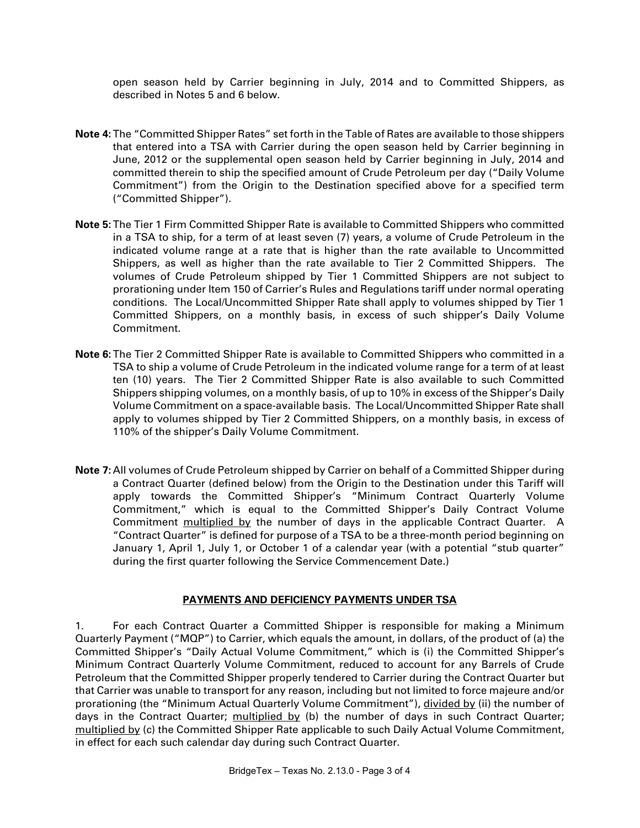open season held by Carrier beginning in July, 2014 and to Committed Shippers, as described in Notes 5 and 6 below.

- **Note 4:**The "Committed Shipper Rates" set forth in the Table of Rates are available to those shippers that entered into a TSA with Carrier during the open season held by Carrier beginning in June, 2012 or the supplemental open season held by Carrier beginning in July, 2014 and committed therein to ship the specified amount of Crude Petroleum per day ("Daily Volume Commitment") from the Origin to the Destination specified above for a specified term ("Committed Shipper").
- **Note 5:**The Tier 1 Firm Committed Shipper Rate is available to Committed Shippers who committed in a TSA to ship, for a term of at least seven (7) years, a volume of Crude Petroleum in the indicated volume range at a rate that is higher than the rate available to Uncommitted Shippers, as well as higher than the rate available to Tier 2 Committed Shippers. The volumes of Crude Petroleum shipped by Tier 1 Committed Shippers are not subject to prorationing under Item 150 of Carrier's Rules and Regulations tariff under normal operating conditions. The Local/Uncommitted Shipper Rate shall apply to volumes shipped by Tier 1 Committed Shippers, on a monthly basis, in excess of such shipper's Daily Volume Commitment.
- **Note 6:**The Tier 2 Committed Shipper Rate is available to Committed Shippers who committed in a TSA to ship a volume of Crude Petroleum in the indicated volume range for a term of at least ten (10) years. The Tier 2 Committed Shipper Rate is also available to such Committed Shippers shipping volumes, on a monthly basis, of up to 10% in excess of the Shipper's Daily Volume Commitment on a space-available basis. The Local/Uncommitted Shipper Rate shall apply to volumes shipped by Tier 2 Committed Shippers, on a monthly basis, in excess of 110% of the shipper's Daily Volume Commitment.
- **Note 7:** All volumes of Crude Petroleum shipped by Carrier on behalf of a Committed Shipper during a Contract Quarter (defined below) from the Origin to the Destination under this Tariff will apply towards the Committed Shipper's "Minimum Contract Quarterly Volume Commitment," which is equal to the Committed Shipper's Daily Contract Volume Commitment multiplied by the number of days in the applicable Contract Quarter. A "Contract Quarter" is defined for purpose of a TSA to be a three-month period beginning on January 1, April 1, July 1, or October 1 of a calendar year (with a potential "stub quarter" during the first quarter following the Service Commencement Date.)

#### **PAYMENTS AND DEFICIENCY PAYMENTS UNDER TSA**

1. For each Contract Quarter a Committed Shipper is responsible for making a Minimum Quarterly Payment ("MQP") to Carrier, which equals the amount, in dollars, of the product of (a) the Committed Shipper's "Daily Actual Volume Commitment," which is (i) the Committed Shipper's Minimum Contract Quarterly Volume Commitment, reduced to account for any Barrels of Crude Petroleum that the Committed Shipper properly tendered to Carrier during the Contract Quarter but that Carrier was unable to transport for any reason, including but not limited to force majeure and/or prorationing (the "Minimum Actual Quarterly Volume Commitment"), divided by (ii) the number of days in the Contract Quarter; multiplied by (b) the number of days in such Contract Quarter; multiplied by (c) the Committed Shipper Rate applicable to such Daily Actual Volume Commitment, in effect for each such calendar day during such Contract Quarter.